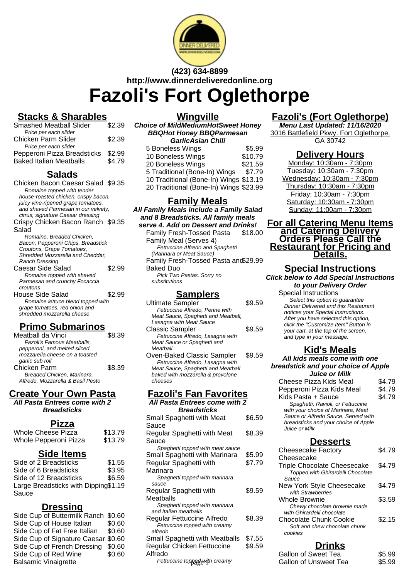

# **(423) 634-8899 http://www.dinnerdeliveredonline.org Fazoli's Fort Oglethorpe**

## **Stacks & Sharables**

| <b>Smashed Meatball Slider</b> | \$2.39 |
|--------------------------------|--------|
| Price per each slider          |        |
| Chicken Parm Slider            | \$2.39 |
| Price per each slider          |        |
| Pepperoni Pizza Breadsticks    | \$2.99 |
| <b>Baked Italian Meatballs</b> | \$4.79 |

## **Salads**

| Chicken Bacon Caesar Salad \$9.35    |        |
|--------------------------------------|--------|
| Romaine topped with tender           |        |
| house-roasted chicken, crispy bacon, |        |
| juicy vine-ripened grape tomatoes,   |        |
| and shaved Parmesan in our velvety,  |        |
| citrus, signature Caesar dressing    |        |
| Crispy Chicken Bacon Ranch \$9.35    |        |
| Salad                                |        |
| Romaine, Breaded Chicken,            |        |
| Bacon, Pepperoni Chips, Breadstick   |        |
| Croutons, Grape Tomatoes,            |        |
| Shredded Mozzarella and Cheddar.     |        |
| Ranch Dressing                       |        |
| Caesar Side Salad                    | \$2.99 |
| Romaine topped with shaved           |        |
| Parmesan and crunchy Focaccia        |        |
| croutons                             |        |
| <b>House Side Salad</b>              | \$2.99 |
| Romaine lettuce blend topped with    |        |
| grape tomatoes, red onion and        |        |
| shredded mozzarella cheese           |        |
|                                      |        |
|                                      |        |

### **Primo Submarinos**

| Meatball da Vinci                 | \$8.39 |
|-----------------------------------|--------|
| Fazoli's Famous Meatballs,        |        |
| pepperoni, and melted sliced      |        |
| mozzarella cheese on a toasted    |        |
| garlic sub roll                   |        |
| Chicken Parm                      | \$8.39 |
| Breaded Chicken, Marinara,        |        |
| Alfredo, Mozzarella & Basil Pesto |        |
|                                   |        |

# **Create Your Own Pasta**

**All Pasta Entrees come with 2 Breadsticks**

### **Pizza**

| Whole Cheese Pizza    | \$13.79 |
|-----------------------|---------|
| Whole Pepperoni Pizza | \$13.79 |

### **Side Items**

| Side of 2 Breadsticks                | \$1.55 |
|--------------------------------------|--------|
| Side of 6 Breadsticks                | \$3.95 |
| Side of 12 Breadsticks               | \$6.59 |
| Large Breadsticks with Dipping\$1.19 |        |
| Sauce                                |        |

#### **Dressing**

| Side Cup of Buttermilk Ranch \$0.60 |        |
|-------------------------------------|--------|
| Side Cup of House Italian           | \$0.60 |
| Side Cup of Fat Free Italian        | \$0.60 |
| Side Cup of Signature Caesar \$0.60 |        |
| Side Cup of French Dressing \$0.60  |        |
| Side Cup of Red Wine                | \$0.60 |
| <b>Balsamic Vinaigrette</b>         |        |
|                                     |        |

**Wingville**

**Choice of MildMediumHotSweet Honey BBQHot Honey BBQParmesan GarlicAsian Chili**

| 5 Boneless Wings                       | \$5.99  |
|----------------------------------------|---------|
| 10 Boneless Wings                      | \$10.79 |
| 20 Boneless Wings                      | \$21.59 |
| 5 Traditional (Bone-In) Wings          | \$7.79  |
| 10 Traditional (Bone-In) Wings \$13.19 |         |
| 20 Traditional (Bone-In) Wings \$23.99 |         |

### **Family Meals**

**All Family Meals include a Family Salad and 8 Breadsticks. All family meals serve 4. Add on Dessert and Drinks!** Family Fresh-Tossed Pasta Family Meal (Serves 4) \$18.00 Fettuccine Alfredo and Spaghetti (Marinara or Meat Sauce) Family Fresh-Tossed Pasta and \$29.99 Baked Duo Pick Two Pastas. Sorry no substitutions

### **Samplers**

| Ultimate Sampler                    | \$9.59 |
|-------------------------------------|--------|
| Fettuccine Alfredo, Penne with      |        |
| Meat Sauce, Spaghetti and Meatball, |        |
| Lasagna with Meat Sauce             |        |
| <b>Classic Sampler</b>              | \$9.59 |
| Fettuccine Alfredo, Lasagna with    |        |
| Meat Sauce or Spaghetti and         |        |
| Meatball                            |        |
| Ouan Beliad Cleasis Camples         |        |

Oven-Baked Classic Sampler \$9.59 Fettuccine Alfredo, Lasagna with Meat Sauce, Spaghetti and Meatball baked with mozzarella & provolone cheeses

# **Fazoli's Fan Favorites**

| All Pasta Entrees come with 2    |        |  |
|----------------------------------|--------|--|
| <b>Breadsticks</b>               |        |  |
| Small Spaghetti with Meat        | \$6.59 |  |
| Sauce                            |        |  |
| Regular Spaghetti with Meat      | \$8.39 |  |
| Sauce                            |        |  |
| Spaghetti topped with meat sauce |        |  |
| Small Spaghetti with Marinara    | \$5.99 |  |
| Regular Spaghetti with           | \$7.79 |  |
| Marinara                         |        |  |
| Spaghetti topped with marinara   |        |  |
| sauce                            |        |  |
| Regular Spaghetti with           | \$9.59 |  |
| Meatballs                        |        |  |
| Spaghetti topped with marinara   |        |  |
| and Italian meatballs            |        |  |
| Regular Fettuccine Alfredo       | \$8.39 |  |
| Fettuccine topped with creamy    |        |  |
| alfredo                          |        |  |
| Small Spaghetti with Meatballs   | \$7.55 |  |
| Regular Chicken Fettuccine       | \$9.59 |  |
| Alfredo                          |        |  |
| Fettuccine tonned with creamv    |        |  |

# **Fazoli's (Fort Oglethorpe)**

**Menu Last Updated: 11/16/2020** 3016 Battlefield Pkwy. Fort Oglethorpe, GA 30742

### **Delivery Hours**

Monday: 10:30am - 7:30pm Tuesday: 10:30am - 7:30pm Wednesday: 10:30am - 7:30pm Thursday: 10:30am - 7:30pm Friday: 10:30am - 7:30pm Saturday: 10:30am - 7:30pm Sunday: 11:00am - 7:30pm

**For all Catering Menu Items and Catering Delivery Orders Please Call the Restaurant for Pricing and Details.**

#### **Special Instructions Click below to Add Special Instructions to your Delivery Order** Special Instructions

Select this option to guarantee Dinner Delivered and this Restaurant notices your Special Instructions. After you have selected this option, click the "Customize Item" Button in your cart, at the top of the screen, and type in your message.

### **Kid's Meals**

**All kids meals come with one breadstick and your choice of Apple Juice or Milk** Cheese Pizza Kids Meal \$4.79

Pepperoni Pizza Kids Meal \$4.79 Kids Pasta + Sauce \$4.79 Spaghetti, Ravioli, or Fettuccine with your choice of Marinara, Meat Sauce or Alfredo Sauce. Served with breadsticks and your choice of Apple Juice or Milk

### **Desserts**

| <b>Cheesecake Factory</b>                                                                        | S4.79  |
|--------------------------------------------------------------------------------------------------|--------|
| Cheesecake                                                                                       |        |
| <b>Triple Chocolate Cheesecake</b><br><b>Topped with Ghirardelli Chocolate</b>                   | \$4.79 |
| Sauce                                                                                            |        |
| New York Style Cheesecake<br>with Strawberries                                                   | \$4.79 |
| Whole Brownie<br>Chewy chocolate brownie made                                                    | \$3.59 |
| with Ghirardelli chocolate<br>Chocolate Chunk Cookie<br>Soft and chew chocolate chunk<br>cookies | \$2.15 |
|                                                                                                  |        |

### **Drinks**

| edo                           | <b>Gallon of Sweet Tea</b> | \$5.99 |
|-------------------------------|----------------------------|--------|
| Fettuccine topped with creamy | Gallon of Unsweet Tea      | \$5.99 |